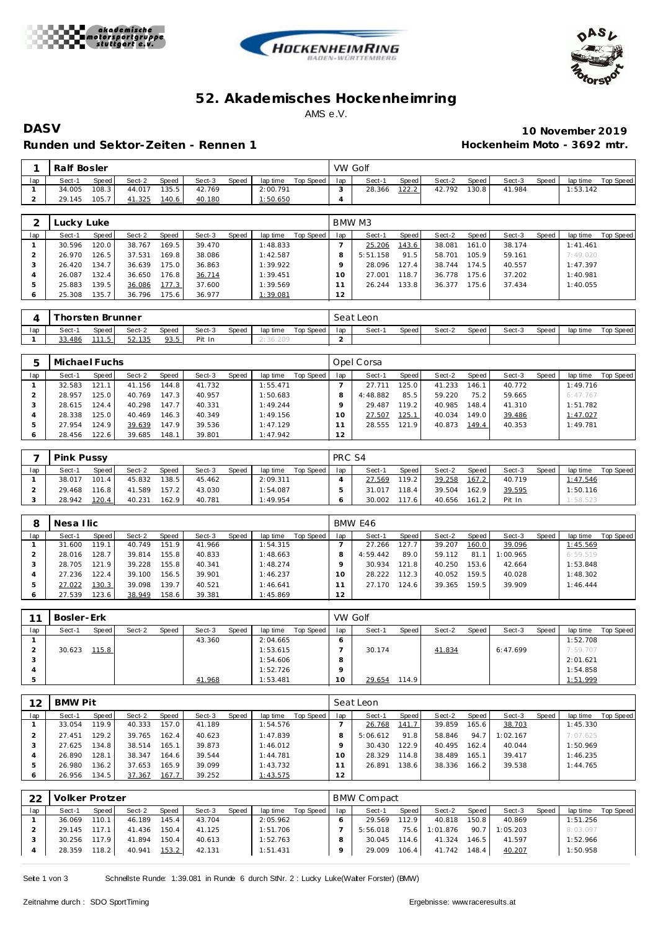





## **52. Akademisches Hockenhe imring** AMS e.V.

## **Runden und Sektor-Zeiten - Rennen 1 Hockenheim Moto - 3692 mtr.**

**DASV 10 November 2019**

|     | Ralf Bosler |       |        |              |        |       |          |           | VW Golf |        |       |        |       |        |       |          |           |
|-----|-------------|-------|--------|--------------|--------|-------|----------|-----------|---------|--------|-------|--------|-------|--------|-------|----------|-----------|
| lap | Sect-1      | Speed | Sect-2 | <b>Speed</b> | Sect-3 | Speed | lap time | Top Speed | lap     | Sect-1 | Speed | Sect-2 | Speed | Sect-3 | Speed | lap time | Top Speed |
|     | 34.005      | 108.3 | 44.017 | 135.5.       | 42.769 |       | 2:00.791 |           |         | 28.366 | 122.2 | 42.792 | 130.8 | 41.984 |       | 1:53.142 |           |
|     | 29.145      | 105.7 | 41.325 | 140.6        | 40.180 |       | : 50.650 |           |         |        |       |        |       |        |       |          |           |

|     | Lucky Luke |       |        |       |        |       |          |           |     | BMW M3   |       |        |       |        |       |           |           |
|-----|------------|-------|--------|-------|--------|-------|----------|-----------|-----|----------|-------|--------|-------|--------|-------|-----------|-----------|
| lap | Sect-1     | Speed | Sect-2 | Speed | Sect-3 | Speed | lap time | Top Speed | lap | Sect-1   | Speed | Sect-2 | Speed | Sect-3 | Speed | lap time  | Top Speed |
|     | 30.596     | 120.0 | 38.767 | 169.5 | 39.470 |       | 1:48.833 |           |     | 25.206   | 143.6 | 38.081 | 161.0 | 38.174 |       | 1: 41.461 |           |
|     | 26.970     | 126.5 | 37.531 | 169.8 | 38.086 |       | 1:42.587 |           |     | 5:51.158 | 91.5  | 58.701 | 105.9 | 59.161 |       | 7:49.020  |           |
| - 1 | 26.420     | 134.7 | 36.639 | 175.0 | 36.863 |       | 1:39.922 |           |     | 28.096   | 127.4 | 38.744 | 174.5 | 40.557 |       | 1:47.397  |           |
|     | 26.087     | 132.4 | 36.650 | 176.8 | 36.714 |       | 1:39.451 |           | 10  | 27.001   | 118.7 | 36.778 | 175.6 | 37.202 |       | 1:40.981  |           |
| ь   | 25.883     | 139.5 | 36.086 | 177.3 | 37.600 |       | 1:39.569 |           |     | 26.244   | 133.8 | 36.377 | 175.6 | 37.434 |       | 1:40.055  |           |
|     | 25.308     | 135.7 | 36.796 | 175.6 | 36.977 |       | 1:39.081 |           | 12  |          |       |        |       |        |       |           |           |

|     |        |            | Thorsten Brunner |       |        |       |          |           |     | Seat Leon |       |        |       |        |       |          |           |
|-----|--------|------------|------------------|-------|--------|-------|----------|-----------|-----|-----------|-------|--------|-------|--------|-------|----------|-----------|
| lap | Sect-1 | Speed      | Sect-2           | Speed | Sect-3 | Speed | lap time | Top Speed | lap | Sect-1    | Speed | Sect-2 | Speed | Sect-3 | Speed | lap time | Top Speed |
|     | 33.486 | .<br>11.57 | 52.135           | 93.5  | Pit In |       |          |           |     |           |       |        |       |        |       |          |           |

| ь   | Michael Fuchs |       |        |       |        |       |          |           |     | Opel Corsa |       |        |       |        |       |          |           |
|-----|---------------|-------|--------|-------|--------|-------|----------|-----------|-----|------------|-------|--------|-------|--------|-------|----------|-----------|
| lap | Sect-1        | Speed | Sect-2 | Speed | Sect-3 | Speed | lap time | Top Speed | lap | Sect-1     | Speed | Sect-2 | Speed | Sect-3 | Speed | lap time | Top Speed |
|     | 32.583        | 121.1 | 41.156 | 144.8 | 41.732 |       | 1:55.471 |           |     | 27.711     | 125.0 | 41.233 | 146.1 | 40.772 |       | 1:49.716 |           |
|     | 28.957        | 125.0 | 40.769 | 147.3 | 40.957 |       | 1:50.683 |           | 8   | 4:48.882   | 85.5  | 59.220 | 75.2  | 59.665 |       | 6:47.767 |           |
|     | 28.615        | 124.4 | 40.298 | 147.7 | 40.331 |       | 1:49.244 |           |     | 29.487     | 119.2 | 40.985 | 148.4 | 41.310 |       | 1:51.782 |           |
|     | 28.338        | 125.0 | 40.469 | 146.3 | 40.349 |       | 1:49.156 |           | 10  | 27.507     | 125.1 | 40.034 | 149.0 | 39.486 |       | 1:47.027 |           |
| ь   | 27.954        | 124.9 | 39.639 | 147.9 | 39.536 |       | 1:47.129 |           |     | 28.555     | 121.9 | 40.873 | 149.4 | 40.353 |       | 1:49.781 |           |
|     | 28.456        | 122.6 | 39.685 | 148.1 | 39.801 |       | 1:47.942 |           | 12  |            |       |        |       |        |       |          |           |

|     | <b>Pink Pussy</b> |         |        |        |        |       |          |           | PRC S4 |        |                    |        |       |        |       |          |           |
|-----|-------------------|---------|--------|--------|--------|-------|----------|-----------|--------|--------|--------------------|--------|-------|--------|-------|----------|-----------|
| lap | Sect-1            | Speed   | Sect-2 | Speed  | Sect-3 | Speed | lap time | Top Speed | lap    | Sect-1 | Speed              | Sect-2 | Speed | Sect-3 | Speed | lap time | Top Speed |
|     | 38.017            | 101.4   | 45.832 | 138.51 | 45.462 |       | 2:09.311 |           |        | 27.569 | 119.2              | 39.258 | 167.2 | 40.719 |       | 1:47.546 |           |
|     | 29.468            | 116.8 l | 41.589 | 157.2  | 43.030 |       | 1:54.087 |           |        | 31.017 | 118.4              | 39.504 | 162.9 | 39.595 |       | 1:50.116 |           |
|     | 28.942            | 120.4   | 40.231 | 162.9  | 40.781 |       | 1:49.954 |           |        | 30.002 | 117.6 <sub>1</sub> | 40.656 | 161.2 | Pit In |       | 1:58.523 |           |

|     | Nesa Ilic |       |        |       |        |       |          |           |         | BMW E46  |       |        |       |          |       |          |           |
|-----|-----------|-------|--------|-------|--------|-------|----------|-----------|---------|----------|-------|--------|-------|----------|-------|----------|-----------|
| lap | Sect-1    | Speed | Sect-2 | Speed | Sect-3 | Speed | lap time | Top Speed | lap     | Sect-1   | Speed | Sect-2 | Speed | Sect-3   | Speed | lap time | Top Speed |
|     | 31.600    | 119.1 | 40.749 | 151.9 | 41.966 |       | 1:54.315 |           |         | 27.266   | 127.7 | 39.207 | 160.0 | 39.096   |       | 1:45.569 |           |
|     | 28.016    | 128.7 | 39.814 | 155.8 | 40.833 |       | 1:48.663 |           |         | 4:59.442 | 89.0  | 59.112 | 81.1  | 1:00.965 |       | 6:59.519 |           |
|     | 28.705    | 121.9 | 39.228 | 155.8 | 40.341 |       | 1:48.274 |           |         | 30.934   | 121.8 | 40.250 | 153.6 | 42.664   |       | 1:53.848 |           |
|     | 27.236    | 122.4 | 39.100 | 156.5 | 39.901 |       | 1:46.237 |           | $\circ$ | 28.222   | 112.3 | 40.052 | 159.5 | 40.028   |       | 1:48.302 |           |
|     | 27.022    | 130.3 | 39.098 | 139.7 | 40.521 |       | 1:46.641 |           |         | 27.170   | 124.6 | 39.365 | 159.5 | 39.909   |       | 1:46.444 |           |
|     | 27.539    | 123.6 | 38.949 | 158.6 | 39.381 |       | 1:45.869 |           | 12      |          |       |        |       |          |       |          |           |

| 11  | Bosler-Erk |       |        |       |        |       |          |           | VW Golf         |        |       |        |       |          |       |          |           |
|-----|------------|-------|--------|-------|--------|-------|----------|-----------|-----------------|--------|-------|--------|-------|----------|-------|----------|-----------|
| lap | Sect-1     | Speed | Sect-2 | Speed | Sect-3 | Speed | lap time | Top Speed | lap             | Sect-1 | Speed | Sect-2 | Speed | Sect-3   | Speed | lap time | Top Speed |
|     |            |       |        |       | 43.360 |       | 2:04.665 |           | 6               |        |       |        |       |          |       | 1:52.708 |           |
|     | 30.623     | 115.8 |        |       |        |       | 1:53.615 |           |                 | 30.174 |       | 41.834 |       | 6:47.699 |       | 7:59.707 |           |
|     |            |       |        |       |        |       | 1:54.606 |           | o               |        |       |        |       |          |       | 2:01.621 |           |
|     |            |       |        |       |        |       | 1:52.726 |           |                 |        |       |        |       |          |       | 1:54.858 |           |
|     |            |       |        |       | 41.968 |       | 1:53.481 |           | 10 <sup>°</sup> | 29.654 | 114.9 |        |       |          |       | 1:51.999 |           |

| 12  | <b>BMW Pit</b> |         |        |       |        |       |          |           |     | Seat Leon |                    |        |       |          |       |          |           |
|-----|----------------|---------|--------|-------|--------|-------|----------|-----------|-----|-----------|--------------------|--------|-------|----------|-------|----------|-----------|
| lap | Sect-1         | Speed   | Sect-2 | Speed | Sect-3 | Speed | lap time | Top Speed | lap | Sect-1    | Speed              | Sect-2 | Speed | Sect-3   | Speed | lap time | Top Speed |
|     | 33.054         | 119.9   | 40.333 | 157.0 | 41.189 |       | 1:54.576 |           |     | 26.768    | 141.7              | 39.859 | 165.6 | 38.703   |       | 1:45.330 |           |
|     | 27.451         | 129.2   | 39.765 | 162.4 | 40.623 |       | 1:47.839 |           |     | 5:06.612  | 91.8               | 58.846 | 94.7  | 1:02.167 |       | 7:07.625 |           |
|     | 27.625         | 134.8 I | 38.514 | 165.1 | 39.873 |       | 1:46.012 |           |     | 30.430    | 122.9              | 40.495 | 162.4 | 40.044   |       | 1:50.969 |           |
|     | 26.890         | 128.1   | 38.347 | 164.6 | 39.544 |       | 1:44.781 |           |     | 28.329    | 114.8 <sub>1</sub> | 38.489 | 165.1 | 39.417   |       | 1:46.235 |           |
|     | 26.980         | 136.2   | 37.653 | 165.9 | 39.099 |       | 1:43.732 |           |     | 26.891    | 138.6              | 38.336 | 166.2 | 39.538   |       | 1:44.765 |           |
|     | 26.956         | 134.5   | 37.367 | 167.7 | 39.252 |       | 1:43.575 |           | 12  |           |                    |        |       |          |       |          |           |

| 22  | Volker Protzer |       |        |       |        |       |          |           |     | <b>BMW Compact</b> |       |          |       |          |       |          |           |
|-----|----------------|-------|--------|-------|--------|-------|----------|-----------|-----|--------------------|-------|----------|-------|----------|-------|----------|-----------|
| lap | Sect-1         | Speed | Sect-2 | Speed | Sect-3 | Speed | lap time | Top Speed | lap | Sect-1             | Speed | Sect-2   | Speed | Sect-3   | Speed | lap time | Top Speed |
|     | 36.069         | 110.1 | 46.189 | 145.4 | 43.704 |       | 2:05.962 |           |     | 29.569             | 112.9 | 40.818   | 150.8 | 40.869   |       | 1:51.256 |           |
|     | 29.145         | 117.1 | 41.436 | 150.4 | 41.125 |       | 1:51.706 |           |     | 5:56.018           | 75.6  | 1:01.876 | 90.7  | 1:05.203 |       | 8:03.097 |           |
|     | 30.256         | 117.9 | 41.894 | 150.4 | 40.613 |       | 1:52.763 |           |     | 30.045             | 114.6 | 41.324   | 146.5 | 41.597   |       | 1:52.966 |           |
|     | 28.359         | 118.2 | 40.941 | 153.2 | 42.131 |       | 1:51.431 |           |     | 29.009             | 106.4 | 41.742   | 148.4 | 40.207   |       | 1:50.958 |           |

Seite 1 von 3 Schnellste Runde: 1:39.081 in Runde 6 durch StNr. 2 : Lucky Luke(Walter Forster) (BMW)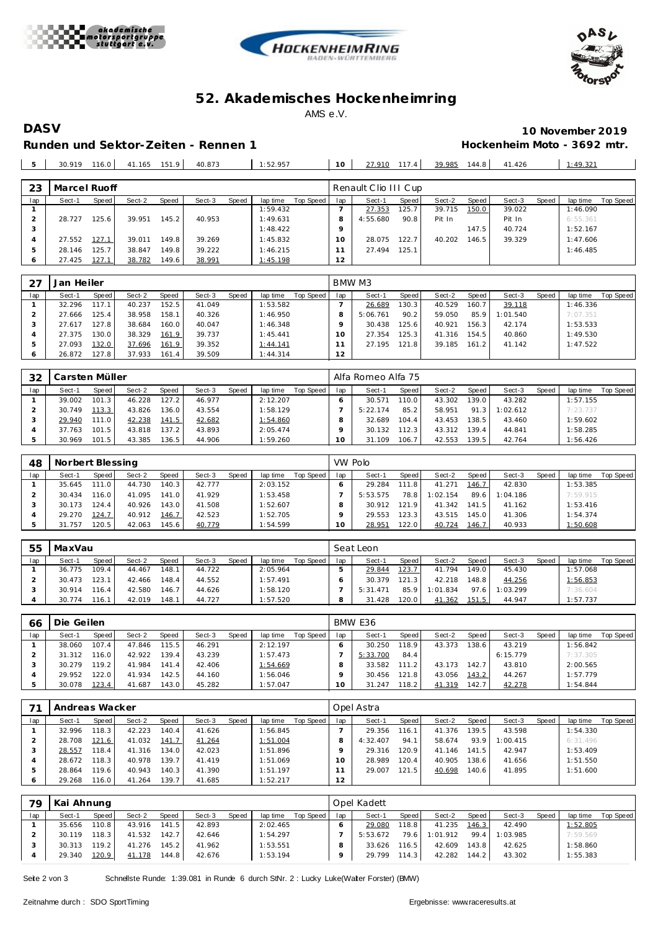





## **52. Akademisches Hockenhe imring** AMS e.V.

**DASV 10 November 2019 Runden und Sektor-Zeiten - Rennen 1 Hockenheim Moto - 3692 mtr.**

| 1:52.957<br>$\blacksquare$<br>40.873<br>: 49.321<br>116.0<br>30.919<br>144.8<br>151.9<br>39.985<br>41.426<br>41.165<br>117.4<br>27.910<br>10 |  |  |  |  |  |  |  |  |
|----------------------------------------------------------------------------------------------------------------------------------------------|--|--|--|--|--|--|--|--|
|                                                                                                                                              |  |  |  |  |  |  |  |  |

| 23  | Marcel Ruoff |       |        |       |        |       |          |           |     | Renault Clio III Cup |       |        |       |        |       |          |           |
|-----|--------------|-------|--------|-------|--------|-------|----------|-----------|-----|----------------------|-------|--------|-------|--------|-------|----------|-----------|
| lap | Sect-1       | Speed | Sect-2 | Speed | Sect-3 | Speed | lap time | Top Speed | lap | Sect-1               | Speed | Sect-2 | Speed | Sect-3 | Speed | lap time | Top Speed |
|     |              |       |        |       |        |       | 1:59.432 |           |     | 27.353               | 125.7 | 39.715 | 150.0 | 39.022 |       | 1:46.090 |           |
|     | 28.727       | 125.6 | 39.951 | 145.2 | 40.953 |       | 1:49.631 |           | 8   | 4:55.680             | 90.8  | Pit In |       | Pit In |       | 6:55.361 |           |
| 3   |              |       |        |       |        |       | 1:48.422 |           |     |                      |       |        | 147.5 | 40.724 |       | 1:52.167 |           |
|     | 27.552       | 127.1 | 39.011 | 149.8 | 39.269 |       | 1:45.832 |           | O   | 28.075               | 122.7 | 40.202 | 146.5 | 39.329 |       | 1:47.606 |           |
| 5   | 28.146       | 125.7 | 38.847 | 149.8 | 39.222 |       | 1:46.215 |           |     | 27.494               | 125.1 |        |       |        |       | 1:46.485 |           |
|     | 27.425       | 127.1 | 38.782 | 149.6 | 38.991 |       | 1:45.198 |           | 12  |                      |       |        |       |        |       |          |           |

| -27     | Jan Heiler |       |        |       |        |       |          |           | BMW M3 |          |       |        |       |          |       |          |           |
|---------|------------|-------|--------|-------|--------|-------|----------|-----------|--------|----------|-------|--------|-------|----------|-------|----------|-----------|
| lap     | Sect-1     | Speed | Sect-2 | Speed | Sect-3 | Speed | lap time | Top Speed | lap    | Sect-1   | Speed | Sect-2 | Speed | Sect-3   | Speed | lap time | Top Speed |
|         | 32.296     | 117.1 | 40.237 | 152.5 | 41.049 |       | 1:53.582 |           |        | 26.689   | 130.3 | 40.529 | 160.7 | 39.118   |       | 1:46.336 |           |
|         | 27.666     | 125.4 | 38.958 | 158.1 | 40.326 |       | 1:46.950 |           |        | 5:06.761 | 90.2  | 59.050 | 85.9  | 1:01.540 |       | 7:07.351 |           |
|         | 27.617     | 127.8 | 38.684 | 160.0 | 40.047 |       | 1:46.348 |           |        | 30.438   | 125.6 | 40.921 | 156.3 | 42.174   |       | 1:53.533 |           |
|         | 27.375     | 130.0 | 38.329 | 161.9 | 39.737 |       | 1:45.441 |           | 10     | 27.354   | 125.3 | 41.316 | 154.5 | 40.860   |       | 1:49.530 |           |
| ь       | 27.093     | 132.0 | 37.696 | 161.9 | 39.352 |       | 1:44.141 |           |        | 27.195   | 121.8 | 39.185 | 161.2 | 41.142   |       | 1:47.522 |           |
| $\circ$ | 26.872     | 127.8 | 37.933 | 161.4 | 39.509 |       | 1:44.314 |           | 12     |          |       |        |       |          |       |          |           |

| 32  | Carsten Müller- |       |        |       |        |       |          |           |     | Alfa Romeo Alfa 75 |       |        |                    |          |       |          |           |
|-----|-----------------|-------|--------|-------|--------|-------|----------|-----------|-----|--------------------|-------|--------|--------------------|----------|-------|----------|-----------|
| lap | Sect-1          | Speed | Sect-2 | Speed | Sect-3 | Speed | lap time | Top Speed | lap | Sect-1             | Speed | Sect-2 | Speed              | Sect-3   | Speed | lap time | Top Speed |
|     | 39.002          | 101.3 | 46.228 | 127.2 | 46.977 |       | 2:12.207 |           |     | 30.571             | '10.0 | 43.302 | 139.0              | 43.282   |       | 1:57.155 |           |
|     | 30.749          | 113.3 | 43.826 | 136.0 | 43.554 |       | 1:58.129 |           |     | 5:22.174           | 85.2  | 58.951 | 91.3               | 1:02.612 |       | 7:23.737 |           |
|     | 29.940          | 111.0 | 42.238 | 141.5 | 42.682 |       | 1:54.860 |           |     | 32.689             | 104.4 | 43.453 | 138.5              | 43.460   |       | 1:59.602 |           |
|     | 37.763          | 101.5 | 43.818 | 137.2 | 43.893 |       | 2:05.474 |           |     | 30.132             | 12.3  | 43.312 | 139.4 <sub>1</sub> | 44.841   |       | 1:58.285 |           |
|     | 30.969          | 101.5 | 43.385 | 136.5 | 44.906 |       | 1:59.260 |           | 10  | 31.109             | 106.7 | 42.553 | 139.5              | 42.764   |       | 1:56.426 |           |

| 48  | Norbert Blessing |         |        |              |        |       |          |           |        | VW Polo  |        |          |       |          |       |          |           |
|-----|------------------|---------|--------|--------------|--------|-------|----------|-----------|--------|----------|--------|----------|-------|----------|-------|----------|-----------|
| lap | Sect-1           | Speed I | Sect-2 | <b>Speed</b> | Sect-3 | Speed | lap time | Top Speed | lap    | Sect-1   | Speed  | Sect-2   | Speed | Sect-3   | Speed | lap time | Top Speed |
|     | 35.645           | 111.0   | 44.730 | 140.3        | 42.777 |       | 2:03.152 |           |        | 29.284   | 111.8  | 41.271   | 146.7 | 42.830   |       | 1:53.385 |           |
|     | 30.434           | 116.01  | 41.095 | 141.0        | 41.929 |       | 1:53.458 |           |        | 5:53.575 | 78.8   | 1:02.154 | 89.6  | 1:04.186 |       | 7:59.915 |           |
|     | 30.173           | 124.4   | 40.926 | 143.0        | 41.508 |       | 1:52.607 |           |        | 30.912   | 121.9  | 41.342   | 141.5 | 41.162   |       | 1:53.416 |           |
|     | 29.270           | 124.7   | 40.912 | 146.7        | 42.523 |       | 1:52.705 |           |        | 29.553   | 123.3  | 43.515   | 145.0 | 41.306   |       | 1:54.374 |           |
|     | 31.757           | 120.5   | 42.063 | 145.6        | 40.779 |       | 1:54.599 |           | $10-1$ | 28.951   | 122.01 | 40.724   | 146.7 | 40.933   |       | 1:50.608 |           |

| 55  | MaxVau |       |        |       |        |       |          |           |     | Seat Leon |       |          |       |          |       |          |           |
|-----|--------|-------|--------|-------|--------|-------|----------|-----------|-----|-----------|-------|----------|-------|----------|-------|----------|-----------|
| lap | Sect-1 | Speed | Sect-2 | Speed | Sect-3 | Speed | lap time | Top Speed | lap | Sect-1    | Speed | Sect-2   | Speed | Sect-3   | Speed | lap time | Top Speed |
|     | 36.775 | 109.4 | 44.467 | 148.1 | 44.722 |       | 2:05.964 |           |     | 29.844    | 123.7 | 41.794   | 149.0 | 45.430   |       | 1:57.068 |           |
|     | 30.473 | 123.1 | 42.466 | 148.4 | 44.552 |       | 1:57.491 |           |     | 30.379    | 121.3 | 42.218   | 148.8 | 44.256   |       | 1:56.853 |           |
|     | 30.914 | 116.4 | 42.580 | 146.7 | 44.626 |       | 1:58.120 |           |     | 5:31.471  | 85.9  | 1:01.834 | 97.6  | 1:03.299 |       | 7:36.604 |           |
|     | 30.774 | 16.1  | 42.019 | 148.1 | 44.727 |       | 1:57.520 |           |     | 31.428    | 120.0 | 41.362   | 151.5 | 44.947   |       | 1:57.737 |           |

| 66  | Die Geilen |       |        |       |        |       |          |           |     | BMW E36  |       |        |       |          |       |          |           |
|-----|------------|-------|--------|-------|--------|-------|----------|-----------|-----|----------|-------|--------|-------|----------|-------|----------|-----------|
| lap | Sect-1     | Speed | Sect-2 | Speed | Sect-3 | Speed | lap time | Top Speed | lap | Sect-1   | Speed | Sect-2 | Speed | Sect-3   | Speed | lap time | Top Speed |
|     | 38.060     | 107.4 | 47.846 | 115.5 | 46.291 |       | 2:12.197 |           |     | 30.250   | 118.9 | 43.373 | 138.6 | 43.219   |       | 1:56.842 |           |
|     | 31.312     | 116.0 | 42.922 | 139.4 | 43.239 |       | 1:57.473 |           |     | 5:33.700 | 84.4  |        |       | 6:15.779 |       | 7:37.305 |           |
|     | 30.279     | 119.2 | 41.984 | 141.4 | 42.406 |       | 1:54.669 |           |     | 33.582   | 111.2 | 43.173 | 142.7 | 43.810   |       | 2:00.565 |           |
| 4   | 29.952     | 122.0 | 41.934 | 142.5 | 44.160 |       | 1:56.046 |           |     | 30.456   | 121.8 | 43.056 | 143.2 | 44.267   |       | 1:57.779 |           |
|     | 30.078     | 123.4 | 41.687 | 143.0 | 45.282 |       | 1:57.047 |           | 10  | 31.247   | 118.2 | 41.319 | 142.7 | 42.278   |       | 1:54.844 |           |

|     | Andreas Wacker |       |        |       |        |       |          |           |     | Opel Astra |       |        |       |          |       |          |           |
|-----|----------------|-------|--------|-------|--------|-------|----------|-----------|-----|------------|-------|--------|-------|----------|-------|----------|-----------|
| lap | Sect-1         | Speed | Sect-2 | Speed | Sect-3 | Speed | lap time | Top Speed | lap | Sect-1     | Speed | Sect-2 | Speed | Sect-3   | Speed | lap time | Top Speed |
|     | 32.996         | 118.3 | 42.223 | 140.4 | 41.626 |       | 1:56.845 |           |     | 29.356     | 116.1 | 41.376 | 139.5 | 43.598   |       | 1:54.330 |           |
|     | 28.708         | 121.6 | 41.032 | 141.7 | 41.264 |       | 1:51.004 |           |     | 4:32.407   | 94.1  | 58.674 | 93.9  | 1:00.415 |       | 6:31.496 |           |
|     | 28.557         | 118.4 | 41.316 | 134.0 | 42.023 |       | 1:51.896 |           |     | 29.316     | 120.9 | 41.146 | 141.5 | 42.947   |       | 1:53.409 |           |
|     | 28.672         | 118.3 | 40.978 | 139.7 | 41.419 |       | 1:51.069 |           | 10  | 28.989     | 120.4 | 40.905 | 138.6 | 41.656   |       | 1:51.550 |           |
|     | 28.864         | 119.6 | 40.943 | 140.3 | 41.390 |       | 1:51.197 |           |     | 29.007     | 121.5 | 40.698 | 140.6 | 41.895   |       | 1:51.600 |           |
|     | 29.268         | 116.0 | 41.264 | 139.7 | 41.685 |       | 1:52.217 |           | 12  |            |       |        |       |          |       |          |           |

| 79  | Kai Ahnung |              |        |                    |        |       |          |           |     | Opel Kadett |         |          |       |          |       |          |           |
|-----|------------|--------------|--------|--------------------|--------|-------|----------|-----------|-----|-------------|---------|----------|-------|----------|-------|----------|-----------|
| lap | Sect-1     | <b>Speed</b> | Sect-2 | Speed              | Sect-3 | Speed | lap time | Top Speed | lap | Sect-1      | Speed   | Sect-2   | Speed | Sect-3   | Speed | lap time | Top Speed |
|     | 35.656     | 110.8        | 43.916 | 141.5              | 42.893 |       | 2:02.465 |           |     | 29.080      | 118.8 I | 41.235   | 146.3 | 42.490   |       | 1:52.805 |           |
|     | 30.119     | 118.3        | 41.532 | 142.7              | 42.646 |       | 1:54.297 |           |     | 5:53.672    | 79.6    | 1:01.912 | 99.4  | 1:03.985 |       | 7:59.569 |           |
|     | 30.313     | 119.2        | 41.276 | 145.2 <sub>1</sub> | 41.962 |       | 1:53.551 |           |     | 33.626      | 116.5   | 42.609   | 143.8 | 42.625   |       | 1:58.860 |           |
|     | 29.340     | 120.9        | 41.178 | 144.8              | 42.676 |       | 1:53.194 |           |     | 29.799      | 114.3   | 42.282   | 144.2 | 43.302   |       | 1:55.383 |           |

Seite 2 von 3 Schnellste Runde: 1:39.081 in Runde 6 durch StNr. 2 : Lucky Luke(Walter Forster) (BMW)